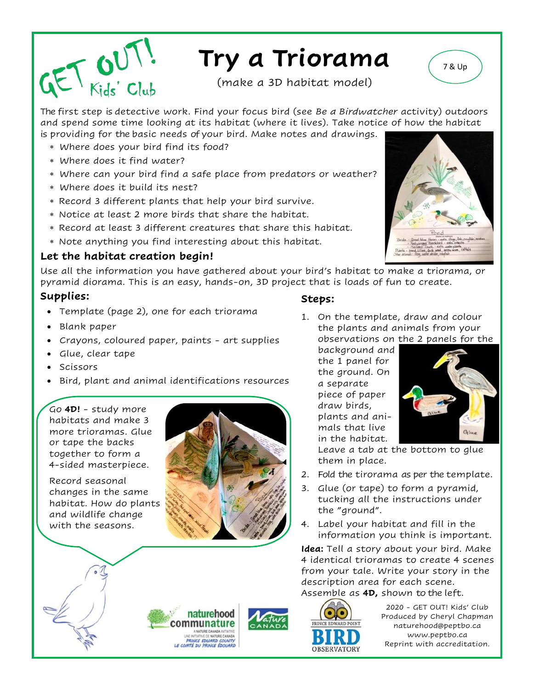

## **Try a Triorama**

(make a 3D habitat model)

The first step is detective work. Find your focus bird (see *Be a Birdwatcher* activity) outdoors and spend some time looking at its habitat (where it lives). Take notice of how the habitat is providing for the basic needs of your bird. Make notes and drawings.

- Where does your bird find its food?
- Where does it find water?
- Where can your bird find a safe place from predators or weather?
- Where does it build its nest?
- Record 3 different plants that help your bird survive.
- Notice at least 2 more birds that share the habitat.
- Record at least 3 different creatures that share this habitat.
- Note anything you find interesting about this habitat.

## **Let the habitat creation begin!**

Use all the information you have gathered about your bird's habitat to make a triorama, or pyramid diorama. This is an easy, hands-on, 3D project that is loads of fun to create.

## **Supplies:**

- Template (page 2), one for each triorama
- Blank paper
- Crayons, coloured paper, paints art supplies
- Glue, clear tape
- Scissors
- Bird, plant and animal identifications resources

Go **4D!** - study more habitats and make 3 more trioramas. Glue or tape the backs together to form a 4-sided masterpiece.

Record seasonal changes in the same habitat. How do plants and wildlife change with the seasons.



naturehood communature ANATURE CANADA INTIATIVE<br>UNE INITIATIVE DE NATURE CANADA<br>PRINCE EDUIARD COUNTY<br>LE COMTÉ DU PRINCE ÉDOUARD

## **Steps:**

1. On the template, draw and colour the plants and animals from your observations on the 2 panels for the

background and the 1 panel for the ground. On a separate piece of paper draw birds, plants and animals that live in the habitat.



Leave a tab at the bottom to glue them in place.

- 2. Fold the tirorama as per the template.
- 3. Glue (or tape) to form a pyramid, tucking all the instructions under the "ground".
- 4. Label your habitat and fill in the information you think is important.

**Idea:** Tell a story about your bird. Make 4 identical trioramas to create 4 scenes from your tale. Write your story in the description area for each scene. Assemble as **4D,** shown to the left.

ORSERVATORY

2020 - GET OUT! Kids' Club Produced by Cheryl Chapman naturehood@peptbo.ca www.peptbo.ca Reprint with accreditation.